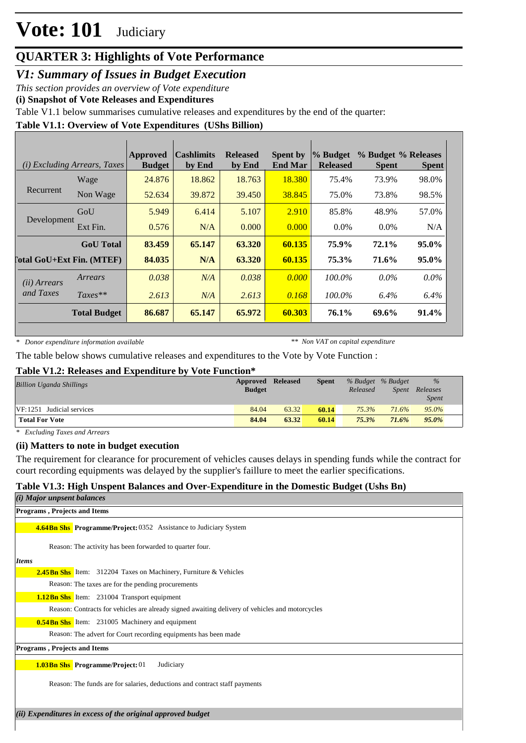# **Vote: 101** Judiciary

## **QUARTER 3: Highlights of Vote Performance**

*V1: Summary of Issues in Budget Execution*

*This section provides an overview of Vote expenditure* 

**(i) Snapshot of Vote Releases and Expenditures**

Table V1.1 below summarises cumulative releases and expenditures by the end of the quarter:

### **Table V1.1: Overview of Vote Expenditures (UShs Billion)**

|                       | ( <i>i</i> ) Excluding Arrears, Taxes | Approved<br><b>Budget</b> | Cashlimits<br>by End | <b>Released</b><br>by End | <b>Spent by</b><br><b>End Mar</b> | % Budget<br><b>Released</b> | % Budget % Releases<br><b>Spent</b> | <b>Spent</b> |
|-----------------------|---------------------------------------|---------------------------|----------------------|---------------------------|-----------------------------------|-----------------------------|-------------------------------------|--------------|
|                       | Wage                                  | 24.876                    | 18.862               | 18.763                    | 18.380                            | 75.4%                       | 73.9%                               | 98.0%        |
| Recurrent             | Non Wage                              | 52.634                    | 39.872               | 39.450                    | 38.845                            | 75.0%                       | 73.8%                               | 98.5%        |
|                       | GoU                                   | 5.949                     | 6.414                | 5.107                     | 2.910                             | 85.8%                       | 48.9%                               | 57.0%        |
| Development           | Ext Fin.                              | 0.576                     | N/A                  | 0.000                     | 0.000                             | $0.0\%$                     | $0.0\%$                             | N/A          |
|                       | <b>GoU</b> Total                      | 83.459                    | 65.147               | 63.320                    | 60.135                            | 75.9%                       | 72.1%                               | 95.0%        |
|                       | <b>Cotal GoU+Ext Fin. (MTEF)</b>      | 84.035                    | N/A                  | 63.320                    | 60.135                            | 75.3%                       | 71.6%                               | 95.0%        |
| ( <i>ii</i> ) Arrears | Arrears                               | 0.038                     | N/A                  | 0.038                     | 0.000                             | $100.0\%$                   | $0.0\%$                             | $0.0\%$      |
| and Taxes             | $Taxes**$                             | 2.613                     | N/A                  | 2.613                     | 0.168                             | 100.0%                      | 6.4%                                | 6.4%         |
|                       | <b>Total Budget</b>                   | 86.687                    | 65.147               | 65.972                    | 60.303                            | 76.1%                       | 69.6%                               | 91.4%        |

*\* Donor expenditure information available*

*\*\* Non VAT on capital expenditure*

The table below shows cumulative releases and expenditures to the Vote by Vote Function :

#### **Table V1.2: Releases and Expenditure by Vote Function\***

| <b>Billion Uganda Shillings</b> | Approved Released<br><b>Budget</b> |       | <b>Spent</b> | Released | % Budget % Budget<br><i>Spent</i> | $\%$<br>Releases<br><i>Spent</i> |
|---------------------------------|------------------------------------|-------|--------------|----------|-----------------------------------|----------------------------------|
| VF:1251 Judicial services       | 84.04                              | 63.32 | 60.14        | 75.3%    | 71.6%                             | $95.0\%$                         |
| <b>Total For Vote</b>           | 84.04                              | 63.32 | 60.14        | 75.3%    | 71.6%                             | $95.0\%$                         |

*\* Excluding Taxes and Arrears*

#### **(ii) Matters to note in budget execution**

The requirement for clearance for procurement of vehicles causes delays in spending funds while the contract for court recording equipments was delayed by the supplier's faillure to meet the earlier specifications.

#### **Table V1.3: High Unspent Balances and Over-Expenditure in the Domestic Budget (Ushs Bn)**

| (i) Major unpsent balances                                                                      |
|-------------------------------------------------------------------------------------------------|
| Programs, Projects and Items                                                                    |
| <b>4.64Bn Shs Programme/Project: 0352 Assistance to Judiciary System</b>                        |
| Reason: The activity has been forwarded to quarter four.                                        |
| <b>Items</b>                                                                                    |
| <b>2.45Bn Shs</b> Item: 312204 Taxes on Machinery, Furniture & Vehicles                         |
| Reason: The taxes are for the pending procurements                                              |
| <b>1.12Bn Shs</b> Item: 231004 Transport equipment                                              |
| Reason: Contracts for vehicles are already signed awaiting delivery of vehicles and motorcycles |
| <b>0.54Bn Shs</b> Item: 231005 Machinery and equipment                                          |
| Reason: The advert for Court recording equipments has been made                                 |
| <b>Programs, Projects and Items</b>                                                             |
| <b>1.03Bn Shs</b> Programme/Project: 01<br>Judiciary                                            |
| Reason: The funds are for salaries, deductions and contract staff payments                      |
|                                                                                                 |
| (ii) Expenditures in excess of the original approved budget                                     |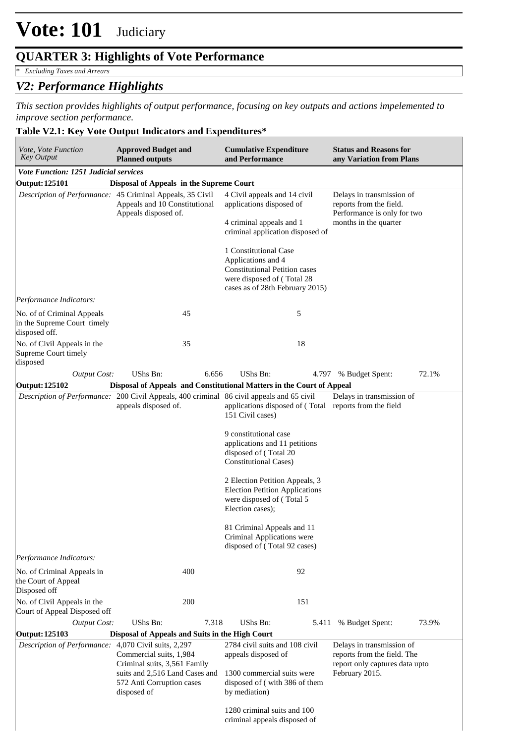## **QUARTER 3: Highlights of Vote Performance**

*\* Excluding Taxes and Arrears*

## *V2: Performance Highlights*

*This section provides highlights of output performance, focusing on key outputs and actions impelemented to improve section performance.*

### **Table V2.1: Key Vote Output Indicators and Expenditures\***

| Vote, Vote Function<br><b>Key Output</b>                                   | <b>Approved Budget and</b><br><b>Planned outputs</b>                                                                     | <b>Cumulative Expenditure</b><br>and Performance                                                                                                     | <b>Status and Reasons for</b><br>any Variation from Plans                                                    |  |  |
|----------------------------------------------------------------------------|--------------------------------------------------------------------------------------------------------------------------|------------------------------------------------------------------------------------------------------------------------------------------------------|--------------------------------------------------------------------------------------------------------------|--|--|
| <b>Vote Function: 1251 Judicial services</b>                               |                                                                                                                          |                                                                                                                                                      |                                                                                                              |  |  |
| <b>Output: 125101</b>                                                      | Disposal of Appeals in the Supreme Court                                                                                 |                                                                                                                                                      |                                                                                                              |  |  |
|                                                                            | Description of Performance: 45 Criminal Appeals, 35 Civil<br>Appeals and 10 Constitutional<br>Appeals disposed of.       | 4 Civil appeals and 14 civil<br>applications disposed of<br>4 criminal appeals and 1<br>criminal application disposed of                             | Delays in transmission of<br>reports from the field.<br>Performance is only for two<br>months in the quarter |  |  |
|                                                                            |                                                                                                                          | 1 Constitutional Case<br>Applications and 4<br><b>Constitutional Petition cases</b><br>were disposed of (Total 28<br>cases as of 28th February 2015) |                                                                                                              |  |  |
| Performance Indicators:                                                    |                                                                                                                          |                                                                                                                                                      |                                                                                                              |  |  |
| No. of of Criminal Appeals<br>in the Supreme Court timely<br>disposed off. | 45                                                                                                                       | 5                                                                                                                                                    |                                                                                                              |  |  |
| No. of Civil Appeals in the<br>Supreme Court timely<br>disposed            | 35                                                                                                                       | 18                                                                                                                                                   |                                                                                                              |  |  |
| <b>Output Cost:</b>                                                        | UShs Bn:<br>6.656                                                                                                        | UShs Bn:                                                                                                                                             | 72.1%<br>4.797 % Budget Spent:                                                                               |  |  |
| Output: 125102                                                             |                                                                                                                          | Disposal of Appeals and Constitutional Matters in the Court of Appeal                                                                                |                                                                                                              |  |  |
|                                                                            | Description of Performance: 200 Civil Appeals, 400 criminal 86 civil appeals and 65 civil<br>appeals disposed of.        | applications disposed of (Total reports from the field<br>151 Civil cases)                                                                           | Delays in transmission of                                                                                    |  |  |
|                                                                            |                                                                                                                          | 9 constitutional case<br>applications and 11 petitions<br>disposed of (Total 20<br><b>Constitutional Cases</b> )                                     |                                                                                                              |  |  |
|                                                                            | 2 Election Petition Appeals, 3<br><b>Election Petition Applications</b><br>were disposed of (Total 5<br>Election cases); |                                                                                                                                                      |                                                                                                              |  |  |
|                                                                            |                                                                                                                          | 81 Criminal Appeals and 11<br>Criminal Applications were<br>disposed of (Total 92 cases)                                                             |                                                                                                              |  |  |
| Performance Indicators:                                                    |                                                                                                                          |                                                                                                                                                      |                                                                                                              |  |  |
| No. of Criminal Appeals in<br>the Court of Appeal<br>Disposed off          | 400                                                                                                                      | 92                                                                                                                                                   |                                                                                                              |  |  |
| No. of Civil Appeals in the<br>Court of Appeal Disposed off                | 200                                                                                                                      | 151                                                                                                                                                  |                                                                                                              |  |  |
| <b>Output Cost:</b>                                                        | UShs Bn:<br>7.318                                                                                                        | UShs Bn:<br>5.411                                                                                                                                    | 73.9%<br>% Budget Spent:                                                                                     |  |  |
| Output: 125103                                                             | Disposal of Appeals and Suits in the High Court                                                                          |                                                                                                                                                      |                                                                                                              |  |  |
| Description of Performance: 4,070 Civil suits, 2,297                       | Commercial suits, 1,984<br>Criminal suits, 3,561 Family                                                                  | 2784 civil suits and 108 civil<br>appeals disposed of                                                                                                | Delays in transmission of<br>reports from the field. The<br>report only captures data upto                   |  |  |
|                                                                            | suits and 2,516 Land Cases and<br>572 Anti Corruption cases<br>disposed of                                               | 1300 commercial suits were<br>disposed of (with 386 of them<br>by mediation)                                                                         | February 2015.                                                                                               |  |  |
|                                                                            |                                                                                                                          | 1280 criminal suits and 100<br>criminal appeals disposed of                                                                                          |                                                                                                              |  |  |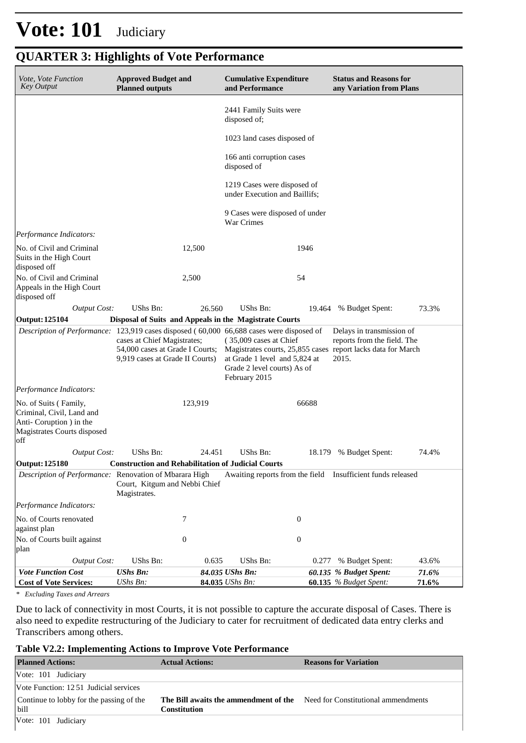# **Vote: 101** Judiciary

| Vote, Vote Function<br><b>Key Output</b>                                                                            | <b>Approved Budget and</b><br><b>Planned outputs</b>                                                                                                                                                                                                                                                                                                                                                                                          | <b>Cumulative Expenditure</b><br>and Performance |                                                              | <b>Status and Reasons for</b><br>any Variation from Plans |                                                             |       |  |
|---------------------------------------------------------------------------------------------------------------------|-----------------------------------------------------------------------------------------------------------------------------------------------------------------------------------------------------------------------------------------------------------------------------------------------------------------------------------------------------------------------------------------------------------------------------------------------|--------------------------------------------------|--------------------------------------------------------------|-----------------------------------------------------------|-------------------------------------------------------------|-------|--|
|                                                                                                                     |                                                                                                                                                                                                                                                                                                                                                                                                                                               |                                                  | 2441 Family Suits were<br>disposed of;                       |                                                           |                                                             |       |  |
|                                                                                                                     |                                                                                                                                                                                                                                                                                                                                                                                                                                               |                                                  | 1023 land cases disposed of                                  |                                                           |                                                             |       |  |
|                                                                                                                     |                                                                                                                                                                                                                                                                                                                                                                                                                                               |                                                  | 166 anti corruption cases<br>disposed of                     |                                                           |                                                             |       |  |
|                                                                                                                     |                                                                                                                                                                                                                                                                                                                                                                                                                                               |                                                  | 1219 Cases were disposed of<br>under Execution and Baillifs; |                                                           |                                                             |       |  |
|                                                                                                                     |                                                                                                                                                                                                                                                                                                                                                                                                                                               |                                                  | 9 Cases were disposed of under<br>War Crimes                 |                                                           |                                                             |       |  |
| Performance Indicators:                                                                                             |                                                                                                                                                                                                                                                                                                                                                                                                                                               |                                                  |                                                              |                                                           |                                                             |       |  |
| No. of Civil and Criminal<br>Suits in the High Court<br>disposed off                                                |                                                                                                                                                                                                                                                                                                                                                                                                                                               | 12,500                                           |                                                              | 1946                                                      |                                                             |       |  |
| No. of Civil and Criminal<br>Appeals in the High Court<br>disposed off                                              | 2,500                                                                                                                                                                                                                                                                                                                                                                                                                                         |                                                  |                                                              | 54                                                        |                                                             |       |  |
| <b>Output Cost:</b>                                                                                                 | UShs Bn:                                                                                                                                                                                                                                                                                                                                                                                                                                      | 26.560                                           | UShs Bn:                                                     |                                                           | 19.464 % Budget Spent:                                      | 73.3% |  |
| <b>Output: 125104</b>                                                                                               | Disposal of Suits and Appeals in the Magistrate Courts                                                                                                                                                                                                                                                                                                                                                                                        |                                                  |                                                              |                                                           |                                                             |       |  |
|                                                                                                                     | Description of Performance: 123,919 cases disposed (60,000 66,688 cases were disposed of<br>Delays in transmission of<br>cases at Chief Magistrates;<br>(35,009 cases at Chief<br>reports from the field. The<br>54,000 cases at Grade I Courts;<br>Magistrates courts, 25,855 cases report lacks data for March<br>9,919 cases at Grade II Courts)<br>at Grade 1 level and 5,824 at<br>2015.<br>Grade 2 level courts) As of<br>February 2015 |                                                  |                                                              |                                                           |                                                             |       |  |
| Performance Indicators:                                                                                             |                                                                                                                                                                                                                                                                                                                                                                                                                                               |                                                  |                                                              |                                                           |                                                             |       |  |
| No. of Suits (Family,<br>Criminal, Civil, Land and<br>Anti-Coruption ) in the<br>Magistrates Courts disposed<br>off |                                                                                                                                                                                                                                                                                                                                                                                                                                               | 123,919                                          |                                                              | 66688                                                     |                                                             |       |  |
| <b>Output Cost:</b>                                                                                                 | UShs Bn:                                                                                                                                                                                                                                                                                                                                                                                                                                      | 24.451                                           | UShs Bn:                                                     |                                                           | 18.179 % Budget Spent:                                      | 74.4% |  |
| <b>Output: 125180</b>                                                                                               | <b>Construction and Rehabilitation of Judicial Courts</b>                                                                                                                                                                                                                                                                                                                                                                                     |                                                  |                                                              |                                                           |                                                             |       |  |
| Description of Performance: Renovation of Mbarara High                                                              | Court, Kitgum and Nebbi Chief<br>Magistrates.                                                                                                                                                                                                                                                                                                                                                                                                 |                                                  |                                                              |                                                           | Awaiting reports from the field Insufficient funds released |       |  |
| Performance Indicators:                                                                                             |                                                                                                                                                                                                                                                                                                                                                                                                                                               |                                                  |                                                              |                                                           |                                                             |       |  |
| No. of Courts renovated<br>against plan                                                                             | 7                                                                                                                                                                                                                                                                                                                                                                                                                                             |                                                  |                                                              | $\boldsymbol{0}$                                          |                                                             |       |  |
| No. of Courts built against<br>plan                                                                                 | $\boldsymbol{0}$                                                                                                                                                                                                                                                                                                                                                                                                                              |                                                  |                                                              | $\boldsymbol{0}$                                          |                                                             |       |  |
| <b>Output Cost:</b>                                                                                                 | UShs Bn:                                                                                                                                                                                                                                                                                                                                                                                                                                      | 0.635                                            | UShs Bn:                                                     | 0.277                                                     | % Budget Spent:                                             | 43.6% |  |
| <b>Vote Function Cost</b>                                                                                           | <b>UShs Bn:</b>                                                                                                                                                                                                                                                                                                                                                                                                                               | 84.035 UShs Bn:                                  |                                                              |                                                           | 60.135 % Budget Spent:                                      | 71.6% |  |
| <b>Cost of Vote Services:</b>                                                                                       | UShs Bn:                                                                                                                                                                                                                                                                                                                                                                                                                                      | 84.035 UShs Bn:                                  |                                                              |                                                           | 60.135 % Budget Spent:                                      | 71.6% |  |

## **QUARTER 3: Highlights of Vote Performance**

*\* Excluding Taxes and Arrears*

Due to lack of connectivity in most Courts, it is not possible to capture the accurate disposal of Cases. There is also need to expedite restructuring of the Judiciary to cater for recruitment of dedicated data entry clerks and Transcribers among others.

### **Table V2.2: Implementing Actions to Improve Vote Performance**

| <b>Planned Actions:</b>                          | <b>Actual Actions:</b>                                | <b>Reasons for Variation</b>        |
|--------------------------------------------------|-------------------------------------------------------|-------------------------------------|
| Vote: 101 Judiciary                              |                                                       |                                     |
| Vote Function: 12.51 Judicial services           |                                                       |                                     |
| Continue to lobby for the passing of the<br>bill | The Bill awaits the ammendment of the<br>Constitution | Need for Constitutional ammendments |
| Vote: 101 Judiciary                              |                                                       |                                     |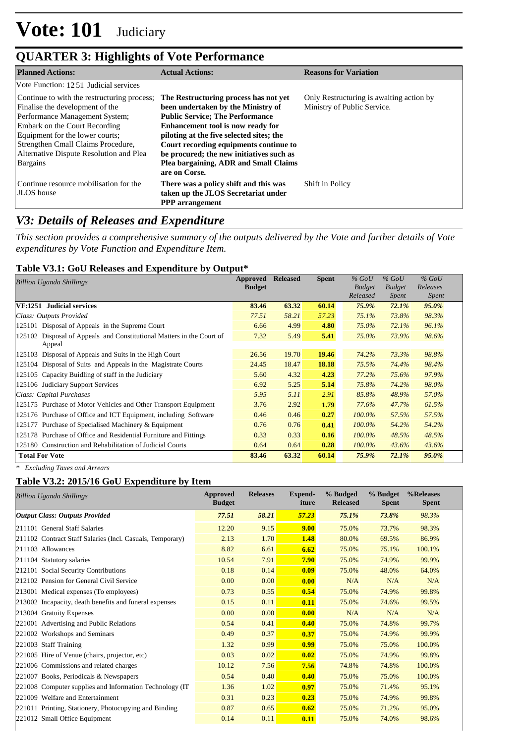## **QUARTER 3: Highlights of Vote Performance**

| <b>Planned Actions:</b>                                                                                                                                                                                                                                                                  | <b>Actual Actions:</b>                                                                                                                                                                                                                                                                                                                                 | <b>Reasons for Variation</b>                                            |
|------------------------------------------------------------------------------------------------------------------------------------------------------------------------------------------------------------------------------------------------------------------------------------------|--------------------------------------------------------------------------------------------------------------------------------------------------------------------------------------------------------------------------------------------------------------------------------------------------------------------------------------------------------|-------------------------------------------------------------------------|
| Vote Function: 1251 Judicial services                                                                                                                                                                                                                                                    |                                                                                                                                                                                                                                                                                                                                                        |                                                                         |
| Continue to with the restructuring process;<br>Finalise the development of the<br>Performance Management System;<br><b>Embark on the Court Recording</b><br>Equipment for the lower courts;<br>Strengthen Cmall Claims Procedure,<br>Alternative Dispute Resolution and Plea<br>Bargains | The Restructuring process has not yet<br>been undertaken by the Ministry of<br><b>Public Service: The Performance</b><br>Enhancement tool is now ready for<br>piloting at the five selected sites; the<br>Court recording equipments continue to<br>be procured; the new initiatives such as<br>Plea bargaining, ADR and Small Claims<br>are on Corse. | Only Restructuring is awaiting action by<br>Ministry of Public Service. |
| Continue resource mobilisation for the<br><b>JLOS</b> house                                                                                                                                                                                                                              | There was a policy shift and this was<br>taken up the JLOS Secretariat under<br><b>PPP</b> arrangement                                                                                                                                                                                                                                                 | Shift in Policy                                                         |

## *V3: Details of Releases and Expenditure*

*This section provides a comprehensive summary of the outputs delivered by the Vote and further details of Vote expenditures by Vote Function and Expenditure Item.*

#### **Table V3.1: GoU Releases and Expenditure by Output\***

| Billion Uganda Shillings                                              | Approved<br><b>Budget</b> | <b>Released</b> | <b>Spent</b> | $%$ GoU<br><b>Budget</b><br>Released | $%$ GoU<br><b>Budget</b><br><i>Spent</i> | $%$ GoU<br>Releases<br><i>Spent</i> |  |
|-----------------------------------------------------------------------|---------------------------|-----------------|--------------|--------------------------------------|------------------------------------------|-------------------------------------|--|
| VF:1251 Judicial services                                             | 83.46                     | 63.32           | 60.14        | 75.9%                                | $72.1\%$                                 | 95.0%                               |  |
| Class: Outputs Provided                                               | 77.51                     | 58.21           | 57.23        | 75.1%                                | 73.8%                                    | 98.3%                               |  |
| 125101 Disposal of Appeals in the Supreme Court                       | 6.66                      | 4.99            | 4.80         | 75.0%                                | 72.1%                                    | 96.1%                               |  |
| 125102 Disposal of Appeals and Constitutional Matters in the Court of | 7.32                      | 5.49            | 5.41         | 75.0%                                | 73.9%                                    | 98.6%                               |  |
| Appeal                                                                |                           |                 |              |                                      |                                          |                                     |  |
| 125103 Disposal of Appeals and Suits in the High Court                | 26.56                     | 19.70           | 19.46        | 74.2%                                | 73.3%                                    | 98.8%                               |  |
| 125104 Disposal of Suits and Appeals in the Magistrate Courts         | 24.45                     | 18.47           | 18.18        | 75.5%                                | 74.4%                                    | 98.4%                               |  |
| 125105 Capacity Buidling of staff in the Judiciary                    | 5.60                      | 4.32            | 4.23         | 77.2%                                | 75.6%                                    | 97.9%                               |  |
| 125106 Judiciary Support Services                                     | 6.92                      | 5.25            | 5.14         | 75.8%                                | 74.2%                                    | 98.0%                               |  |
| Class: Capital Purchases                                              | 5.95                      | 5.11            | 2.91         | 85.8%                                | 48.9%                                    | 57.0%                               |  |
| 125175 Purchase of Motor Vehicles and Other Transport Equipment       | 3.76                      | 2.92            | 1.79         | 77.6%                                | 47.7%                                    | 61.5%                               |  |
| 125176 Purchase of Office and ICT Equipment, including Software       | 0.46                      | 0.46            | 0.27         | $100.0\%$                            | 57.5%                                    | 57.5%                               |  |
| 125177 Purchase of Specialised Machinery & Equipment                  | 0.76                      | 0.76            | 0.41         | $100.0\%$                            | 54.2%                                    | 54.2%                               |  |
| 125178 Purchase of Office and Residential Furniture and Fittings      | 0.33                      | 0.33            | 0.16         | $100.0\%$                            | 48.5%                                    | 48.5%                               |  |
| 125180 Construction and Rehabilitation of Judicial Courts             | 0.64                      | 0.64            | 0.28         | 100.0%                               | 43.6%                                    | 43.6%                               |  |
| <b>Total For Vote</b>                                                 | 83.46                     | 63.32           | 60.14        | 75.9%                                | 72.1%                                    | 95.0%                               |  |

*\* Excluding Taxes and Arrears*

## **Table V3.2: 2015/16 GoU Expenditure by Item**

| <b>Billion Uganda Shillings</b>                           | Approved<br><b>Budget</b> | <b>Releases</b> | <b>Expend-</b><br>iture | % Budged<br><b>Released</b> | % Budget<br><b>Spent</b> | %Releases<br><b>Spent</b> |
|-----------------------------------------------------------|---------------------------|-----------------|-------------------------|-----------------------------|--------------------------|---------------------------|
| <b>Output Class: Outputs Provided</b>                     | 77.51                     | 58.21           | 57.23                   | 75.1%                       | 73.8%                    | 98.3%                     |
| 211101 General Staff Salaries                             | 12.20                     | 9.15            | 9.00                    | 75.0%                       | 73.7%                    | 98.3%                     |
| 211102 Contract Staff Salaries (Incl. Casuals, Temporary) | 2.13                      | 1.70            | 1.48                    | 80.0%                       | 69.5%                    | 86.9%                     |
| $ 211103$ Allowances                                      | 8.82                      | 6.61            | 6.62                    | 75.0%                       | 75.1%                    | 100.1%                    |
| 211104 Statutory salaries                                 | 10.54                     | 7.91            | 7.90                    | 75.0%                       | 74.9%                    | 99.9%                     |
| 212101 Social Security Contributions                      | 0.18                      | 0.14            | 0.09                    | 75.0%                       | 48.0%                    | 64.0%                     |
| 212102 Pension for General Civil Service                  | 0.00                      | 0.00            | 0.00                    | N/A                         | N/A                      | N/A                       |
| 213001 Medical expenses (To employees)                    | 0.73                      | 0.55            | 0.54                    | 75.0%                       | 74.9%                    | 99.8%                     |
| 213002 Incapacity, death benefits and funeral expenses    | 0.15                      | 0.11            | 0.11                    | 75.0%                       | 74.6%                    | 99.5%                     |
| 213004 Gratuity Expenses                                  | 0.00                      | 0.00            | 0.00                    | N/A                         | N/A                      | N/A                       |
| 221001 Advertising and Public Relations                   | 0.54                      | 0.41            | 0.40                    | 75.0%                       | 74.8%                    | 99.7%                     |
| 221002 Workshops and Seminars                             | 0.49                      | 0.37            | 0.37                    | 75.0%                       | 74.9%                    | 99.9%                     |
| 221003 Staff Training                                     | 1.32                      | 0.99            | 0.99                    | 75.0%                       | 75.0%                    | 100.0%                    |
| 221005 Hire of Venue (chairs, projector, etc)             | 0.03                      | 0.02            | 0.02                    | 75.0%                       | 74.9%                    | 99.8%                     |
| 221006 Commissions and related charges                    | 10.12                     | 7.56            | 7.56                    | 74.8%                       | 74.8%                    | 100.0%                    |
| 221007 Books, Periodicals & Newspapers                    | 0.54                      | 0.40            | 0.40                    | 75.0%                       | 75.0%                    | 100.0%                    |
| 221008 Computer supplies and Information Technology (IT)  | 1.36                      | 1.02            | 0.97                    | 75.0%                       | 71.4%                    | 95.1%                     |
| 221009 Welfare and Entertainment                          | 0.31                      | 0.23            | 0.23                    | 75.0%                       | 74.9%                    | 99.8%                     |
| 221011 Printing, Stationery, Photocopying and Binding     | 0.87                      | 0.65            | 0.62                    | 75.0%                       | 71.2%                    | 95.0%                     |
| 221012 Small Office Equipment                             | 0.14                      | 0.11            | 0.11                    | 75.0%                       | 74.0%                    | 98.6%                     |